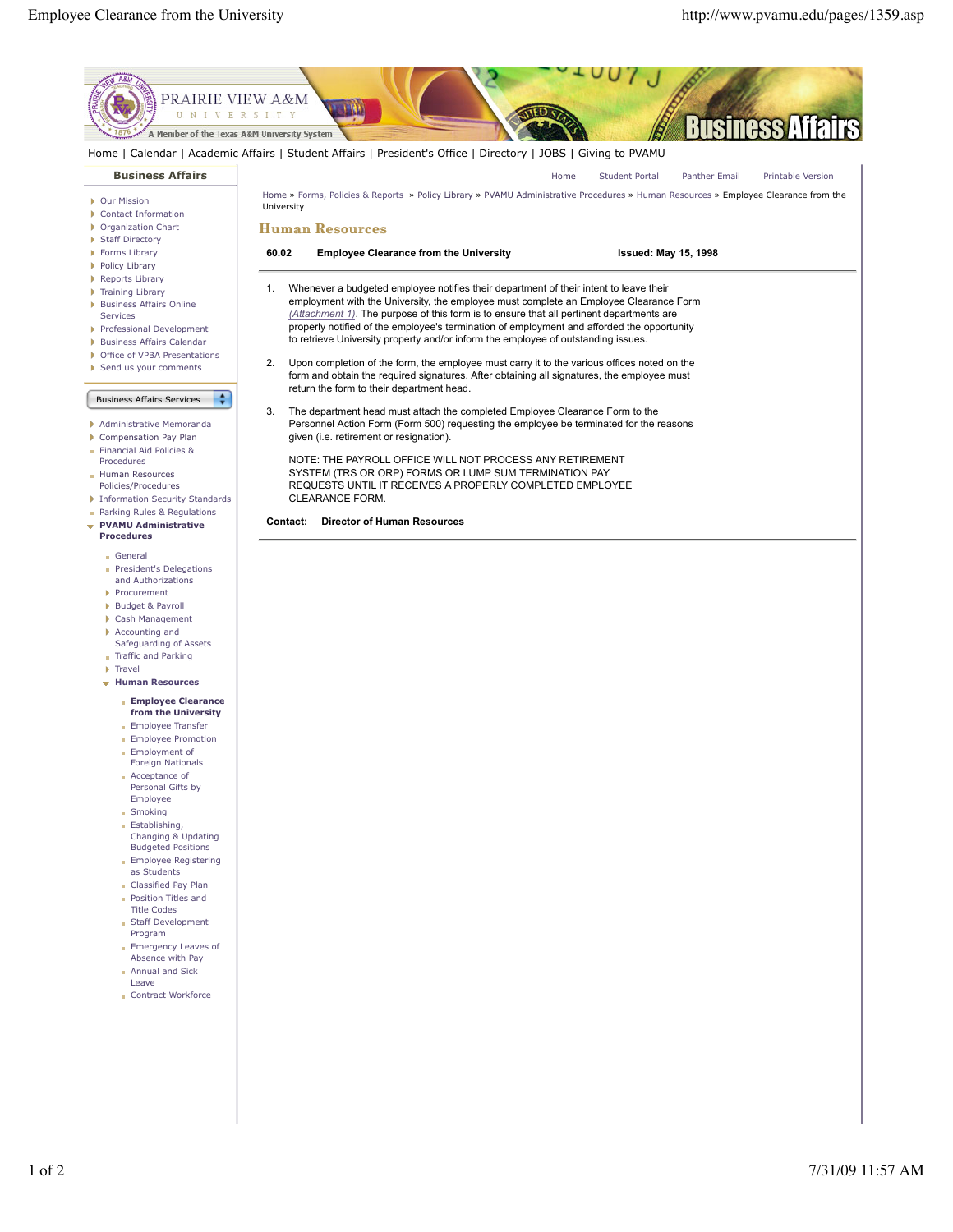

- Staff Development Program
- **Emergency Leaves of** Absence with Pay **Annual and Sick**
- Leave
- Contract Workforce